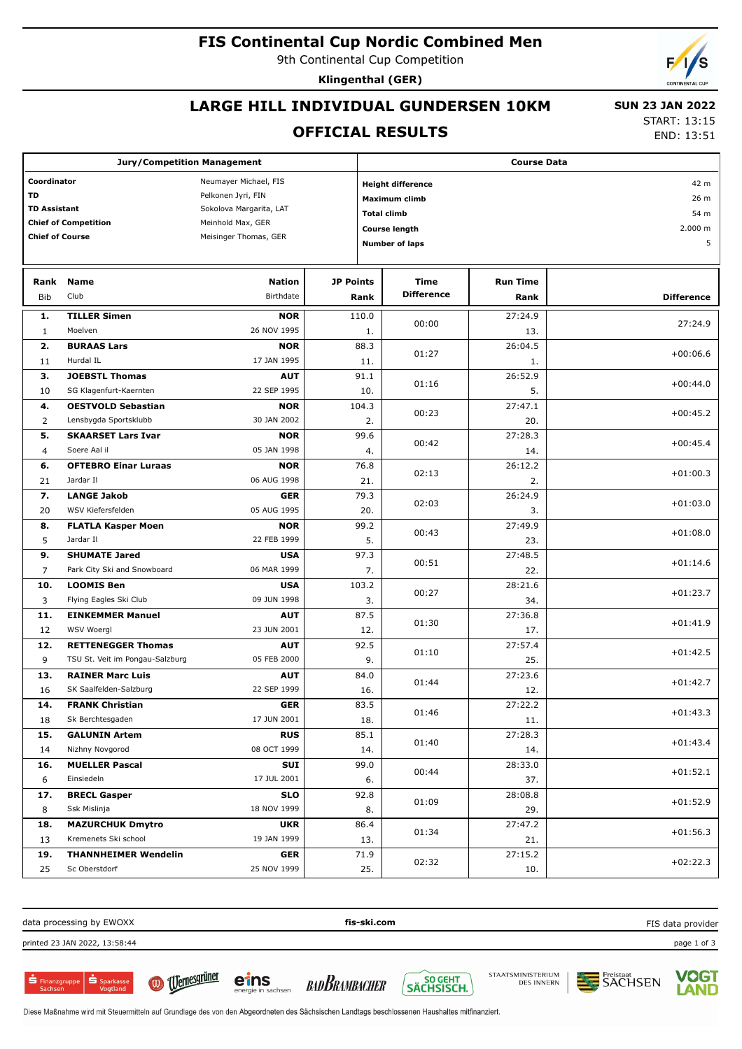#### **FIS Continental Cup Nordic Combined Men**

9th Continental Cup Competition

**Klingenthal (GER)**

## **LARGE HILL INDIVIDUAL GUNDERSEN 10KM**

#### **OFFICIAL RESULTS**

 **SUN 23 JAN 2022** START: 13:15

END: 13:51

| <b>Jury/Competition Management</b>                                        |                                                              |                                                                                                                      |                                                                                                                         |     | <b>Course Data</b>        |                                      |                   |  |  |
|---------------------------------------------------------------------------|--------------------------------------------------------------|----------------------------------------------------------------------------------------------------------------------|-------------------------------------------------------------------------------------------------------------------------|-----|---------------------------|--------------------------------------|-------------------|--|--|
| Coordinator<br><b>TD</b><br><b>TD Assistant</b><br><b>Chief of Course</b> | <b>Chief of Competition</b>                                  | Neumayer Michael, FIS<br>Pelkonen Jyri, FIN<br>Sokolova Margarita, LAT<br>Meinhold Max, GER<br>Meisinger Thomas, GER | <b>Height difference</b><br><b>Maximum climb</b><br><b>Total climb</b><br><b>Course length</b><br><b>Number of laps</b> |     |                           | 42 m<br>26 m<br>54 m<br>2.000 m<br>5 |                   |  |  |
| Rank<br><b>Bib</b>                                                        | <b>Name</b><br>Club                                          | <b>Nation</b><br>Birthdate                                                                                           | JP Points<br>Rank                                                                                                       |     | Time<br><b>Difference</b> | <b>Run Time</b><br>Rank              | <b>Difference</b> |  |  |
| 1.<br>$\mathbf{1}$                                                        | <b>TILLER Simen</b><br>Moelven                               | <b>NOR</b><br>26 NOV 1995                                                                                            | 110.0                                                                                                                   | 1.  | 00:00                     | 27:24.9<br>13.                       | 27:24.9           |  |  |
| 2.<br>11                                                                  | <b>BURAAS Lars</b><br>Hurdal IL                              | <b>NOR</b><br>17 JAN 1995                                                                                            | 88.3<br>11.                                                                                                             |     | 01:27                     | 26:04.5<br>1.                        | $+00:06.6$        |  |  |
| 3.<br>10                                                                  | <b>JOEBSTL Thomas</b><br>SG Klagenfurt-Kaernten              | <b>AUT</b><br>22 SEP 1995                                                                                            | 91.1<br>10.                                                                                                             |     | 01:16                     | 26:52.9<br>5.                        | $+00:44.0$        |  |  |
| 4.<br>2                                                                   | <b>OESTVOLD Sebastian</b><br>Lensbygda Sportsklubb           | <b>NOR</b><br>30 JAN 2002                                                                                            | 104.3                                                                                                                   | 2.  | 00:23                     | 27:47.1<br>20.                       | $+00:45.2$        |  |  |
| 5.<br>4                                                                   | <b>SKAARSET Lars Ivar</b><br>Soere Aal il                    | <b>NOR</b><br>05 JAN 1998                                                                                            | 99.6                                                                                                                    | 4.  | 00:42                     | 27:28.3<br>14.                       | $+00:45.4$        |  |  |
| 6.<br>21                                                                  | <b>OFTEBRO Einar Luraas</b><br>Jardar II                     | <b>NOR</b><br>06 AUG 1998                                                                                            | 76.8<br>21.                                                                                                             |     | 02:13                     | 26:12.2<br>2.                        | $+01:00.3$        |  |  |
| 7.<br>20                                                                  | <b>LANGE Jakob</b><br>WSV Kiefersfelden                      | <b>GER</b><br>05 AUG 1995                                                                                            | 79.3                                                                                                                    | 20. | 02:03                     | 26:24.9<br>3.                        | $+01:03.0$        |  |  |
| 8.<br>5                                                                   | <b>FLATLA Kasper Moen</b><br>Jardar II                       | <b>NOR</b><br>22 FEB 1999                                                                                            | 99.2                                                                                                                    | 5.  | 00:43                     | 27:49.9<br>23.                       | $+01:08.0$        |  |  |
| 9.<br>$\overline{7}$                                                      | <b>SHUMATE Jared</b><br>Park City Ski and Snowboard          | <b>USA</b><br>06 MAR 1999                                                                                            | 97.3                                                                                                                    | 7.  | 00:51                     | 27:48.5<br>22.                       | $+01:14.6$        |  |  |
| 10.<br>3                                                                  | <b>LOOMIS Ben</b><br>Flying Eagles Ski Club                  | <b>USA</b><br>09 JUN 1998                                                                                            | 103.2                                                                                                                   | 3.  | 00:27                     | 28:21.6<br>34.                       | $+01:23.7$        |  |  |
| 11.<br>12                                                                 | <b>EINKEMMER Manuel</b><br>WSV Woergl                        | <b>AUT</b><br>23 JUN 2001                                                                                            | 87.5<br>12.                                                                                                             |     | 01:30                     | 27:36.8<br>17.                       | $+01:41.9$        |  |  |
| 12.<br>9                                                                  | <b>RETTENEGGER Thomas</b><br>TSU St. Veit im Pongau-Salzburg | <b>AUT</b><br>05 FEB 2000                                                                                            | 92.5                                                                                                                    | 9.  | 01:10                     | 27:57.4<br>25.                       | $+01:42.5$        |  |  |
| 13.<br>16                                                                 | <b>RAINER Marc Luis</b><br>SK Saalfelden-Salzburg            | <b>AUT</b><br>22 SEP 1999                                                                                            | 84.0<br>16.                                                                                                             |     | 01:44                     | 27:23.6<br>12.                       | $+01:42.7$        |  |  |
| 14.<br>18                                                                 | <b>FRANK Christian</b><br>Sk Berchtesgaden                   | GER<br>17 JUN 2001                                                                                                   | 83.5<br>18.                                                                                                             |     | 01:46                     | 27:22.2<br>11.                       | $+01:43.3$        |  |  |
| 15.<br>14                                                                 | <b>GALUNIN Artem</b><br>Nizhny Novgorod                      | <b>RUS</b><br>08 OCT 1999                                                                                            | 85.1                                                                                                                    | 14. | 01:40                     | 27:28.3<br>14.                       | $+01:43.4$        |  |  |
| 16.<br>6                                                                  | <b>MUELLER Pascal</b><br>Einsiedeln                          | SUI<br>17 JUL 2001                                                                                                   | 99.0                                                                                                                    | 6.  | 00:44                     | 28:33.0<br>37.                       | $+01:52.1$        |  |  |
| 17.<br>8                                                                  | <b>BRECL Gasper</b><br>Ssk Mislinja                          | <b>SLO</b><br>18 NOV 1999                                                                                            | 92.8                                                                                                                    | 8.  | 01:09                     | 28:08.8<br>29.                       | $+01:52.9$        |  |  |
| 18.<br>13                                                                 | <b>MAZURCHUK Dmytro</b><br>Kremenets Ski school              | <b>UKR</b><br>19 JAN 1999                                                                                            | 86.4                                                                                                                    | 13. | 01:34                     | 27:47.2<br>21.                       | $+01:56.3$        |  |  |
| 19.<br>25                                                                 | <b>THANNHEIMER Wendelin</b><br>Sc Oberstdorf                 | <b>GER</b><br>25 NOV 1999                                                                                            | 71.9                                                                                                                    | 25. | 02:32                     | 27:15.2<br>10.                       | $+02:22.3$        |  |  |

data processing by EWOXX **fis-ski.com** printed 23 JAN 2022, 13:58:44 page 1 of 3

 $\sum_{\substack{\text{Sachson}\n\text{Sachson}}}$ 



<u>Udernesgrüner</u>

**BAD BRAMBACHER** 







eins



FIS data provider

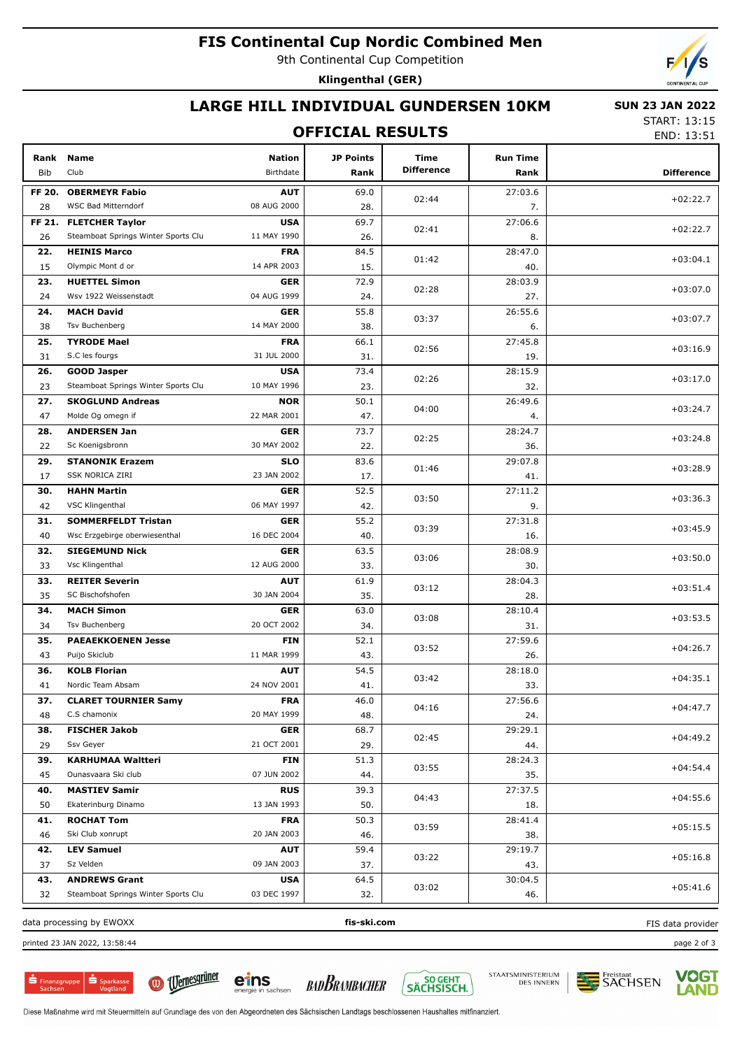### **FIS Continental Cup Nordic Combined Men**

9th Continental Cup Competition

Klingenthal (GER)

## LARGE HILL INDIVIDUAL GUNDERSEN 10KM

#### **SUN 23 JAN 2022**

### **OFFICIAL RESULTS**

**START: 13:15** END: 13:51

| Rank<br>Bib | <b>Name</b><br>Club                 | <b>Nation</b><br>Birthdate | JP Points<br>Rank | Time<br><b>Difference</b> | <b>Run Time</b><br>Rank | <b>Difference</b> |
|-------------|-------------------------------------|----------------------------|-------------------|---------------------------|-------------------------|-------------------|
| FF 20.      | <b>OBERMEYR Fabio</b>               | <b>AUT</b>                 | 69.0              |                           | 27:03.6                 |                   |
| 28          | <b>WSC Bad Mitterndorf</b>          | 08 AUG 2000                | 28.               | 02:44                     | 7.                      | $+02:22.7$        |
| FF 21.      | <b>FLETCHER Taylor</b>              | <b>USA</b>                 | 69.7              |                           | 27:06.6                 |                   |
| 26          | Steamboat Springs Winter Sports Clu | 11 MAY 1990                | 26.               | 02:41                     | 8.                      | $+02:22.7$        |
| 22.         | <b>HEINIS Marco</b>                 | <b>FRA</b>                 | 84.5              |                           | 28:47.0                 |                   |
| 15          | Olympic Mont d or                   | 14 APR 2003                | 15.               | 01:42                     | 40.                     | $+03:04.1$        |
| 23.         | <b>HUETTEL Simon</b>                | <b>GER</b>                 | 72.9              |                           | 28:03.9                 |                   |
| 24          | Wsv 1922 Weissenstadt               | 04 AUG 1999                | 24.               | 02:28                     | 27.                     | $+03:07.0$        |
| 24.         | <b>MACH David</b>                   | <b>GER</b>                 | 55.8              |                           | 26:55.6                 |                   |
| 38          | Tsv Buchenberg                      | 14 MAY 2000                | 38.               | 03:37                     | 6.                      | $+03:07.7$        |
| 25.         | <b>TYRODE Mael</b>                  | <b>FRA</b>                 | 66.1              |                           | 27:45.8                 |                   |
| 31          | S.C les fourgs                      | 31 JUL 2000                | 31.               | 02:56                     | 19.                     | $+03:16.9$        |
| 26.         | <b>GOOD Jasper</b>                  | <b>USA</b>                 | 73.4              |                           | 28:15.9                 |                   |
| 23          | Steamboat Springs Winter Sports Clu | 10 MAY 1996                | 23.               | 02:26                     | 32.                     | $+03:17.0$        |
| 27.         | <b>SKOGLUND Andreas</b>             | <b>NOR</b>                 | 50.1              |                           | 26:49.6                 |                   |
| 47          | Molde Og omegn if                   | 22 MAR 2001                | 47.               | 04:00                     | 4.                      | $+03:24.7$        |
| 28.         | <b>ANDERSEN Jan</b>                 | <b>GER</b>                 | 73.7              |                           | 28:24.7                 |                   |
| 22          | Sc Koenigsbronn                     | 30 MAY 2002                | 22.               | 02:25                     | 36.                     | $+03:24.8$        |
|             | <b>STANONIK Erazem</b>              | <b>SLO</b>                 | 83.6              |                           | 29:07.8                 |                   |
| 29.<br>17   | SSK NORICA ZIRI                     | 23 JAN 2002                | 17.               | 01:46                     | 41.                     | $+03:28.9$        |
|             |                                     |                            |                   |                           |                         |                   |
| 30.         | <b>HAHN Martin</b>                  | <b>GER</b><br>06 MAY 1997  | 52.5              | 03:50                     | 27:11.2                 | $+03:36.3$        |
| 42          | VSC Klingenthal                     |                            | 42.               |                           | 9.                      |                   |
| 31.         | <b>SOMMERFELDT Tristan</b>          | <b>GER</b>                 | 55.2              | 03:39                     | 27:31.8                 | $+03:45.9$        |
| 40          | Wsc Erzgebirge oberwiesenthal       | 16 DEC 2004                | 40.               |                           | 16.                     |                   |
| 32.         | <b>SIEGEMUND Nick</b>               | <b>GER</b>                 | 63.5              | 03:06                     | 28:08.9                 | $+03:50.0$        |
| 33          | Vsc Klingenthal                     | 12 AUG 2000                | 33.               |                           | 30.                     |                   |
| 33.         | <b>REITER Severin</b>               | <b>AUT</b>                 | 61.9              | 03:12                     | 28:04.3                 | $+03:51.4$        |
| 35          | SC Bischofshofen                    | 30 JAN 2004                | 35.               |                           | 28.                     |                   |
| 34.         | <b>MACH Simon</b>                   | <b>GER</b>                 | 63.0              | 03:08                     | 28:10.4                 | $+03:53.5$        |
| 34          | Tsv Buchenberg                      | 20 OCT 2002                | 34.               |                           | 31.                     |                   |
| 35.         | <b>PAEAEKKOENEN Jesse</b>           | <b>FIN</b>                 | 52.1              | 03:52                     | 27:59.6                 | $+04:26.7$        |
| 43          | Puijo Skiclub                       | 11 MAR 1999                | 43.               |                           | 26.                     |                   |
| 36.         | <b>KOLB Florian</b>                 | <b>AUT</b>                 | 54.5              | 03:42                     | 28:18.0                 | $+04:35.1$        |
| 41          | Nordic Team Absam                   | 24 NOV 2001                | 41.               |                           | 33.                     |                   |
| 37.         | <b>CLARET TOURNIER Samy</b>         | <b>FRA</b>                 | 46.0              | 04:16                     | 27:56.6                 | $+04:47.7$        |
| 48          | C.S chamonix                        | 20 MAY 1999                | 48.               |                           | 24.                     |                   |
| 38.         | <b>FISCHER Jakob</b>                | <b>GER</b>                 | 68.7              | 02:45                     | 29:29.1                 | $+04:49.2$        |
| 29          | Ssv Geyer                           | 21 OCT 2001                | 29.               |                           | 44.                     |                   |
| 39.         | <b>KARHUMAA Waltteri</b>            | <b>FIN</b>                 | 51.3              | 03:55                     | 28:24.3                 | $+04:54.4$        |
| 45          | Ounasvaara Ski club                 | 07 JUN 2002                | 44.               |                           | 35.                     |                   |
| 40.         | <b>MASTIEV Samir</b>                | <b>RUS</b>                 | 39.3              | 04:43                     | 27:37.5                 | $+04:55.6$        |
| 50          | Ekaterinburg Dinamo                 | 13 JAN 1993                | 50.               |                           | 18.                     |                   |
| 41.         | <b>ROCHAT Tom</b>                   | <b>FRA</b>                 | 50.3              | 03:59                     | 28:41.4                 | $+05:15.5$        |
| 46          | Ski Club xonrupt                    | 20 JAN 2003                | 46.               |                           | 38.                     |                   |
| 42.         | <b>LEV Samuel</b>                   | <b>AUT</b>                 | 59.4              |                           | 29:19.7                 |                   |
| 37          | Sz Velden                           | 09 JAN 2003                | 37.               | 03:22                     | 43.                     | $+05:16.8$        |
| 43.         | <b>ANDREWS Grant</b>                | <b>USA</b>                 | 64.5              |                           | 30:04.5                 |                   |
| 32          | Steamboat Springs Winter Sports Clu | 03 DEC 1997                | 32.               | 03:02                     | 46.                     | $+05:41.6$        |
|             | data processing by EWOXX            |                            | fis-ski.com       |                           |                         | FIS data provider |

printed 23 JAN 2022, 13:58:44

 $S<sub>parkas</sub>$ **S** Finanzgruppe



eins **BADBRAMBACHER** 



STAATSMINISTERIUM<br>DES INNERN



page 2 of 3

Diese Maßnahme wird mit Steuermitteln auf Grundlage des von den Abgeordneten des Sächsischen Landtags beschlossenen Haushaltes mitfinanziert.